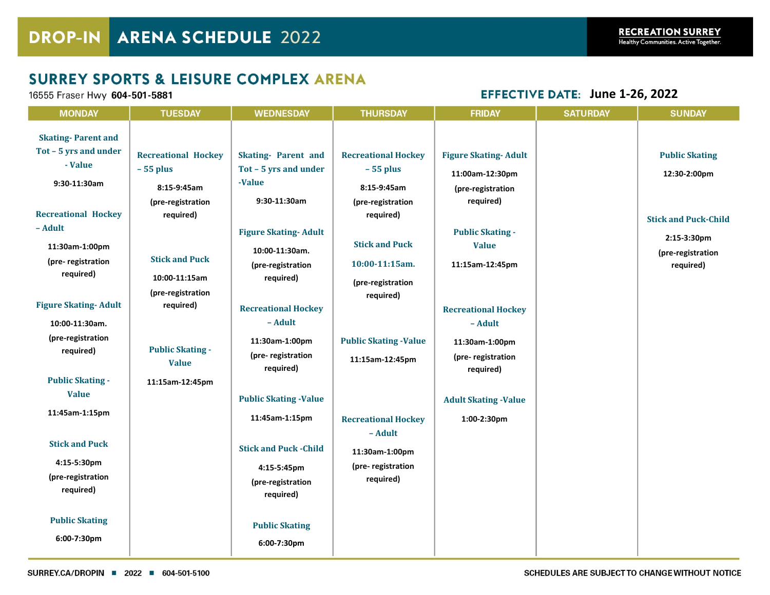## **SURREY SPORTS & LEISURE COMPLEX ARENA**

16555 Fraser Hwy 604-501-5881

**EFFECTIVE DATE: June 1-26, 2022** 

|                                                                                                                                                                                                                                                                                                           |                                                                                                                                                                                                                                                |                                                                                                                                                                                                                                                                                  |                                                                                                                                                                                                                                       |                                                                                                                                                                                                                                                              | <b>SATURDAY</b> |                                                                                                                                        |
|-----------------------------------------------------------------------------------------------------------------------------------------------------------------------------------------------------------------------------------------------------------------------------------------------------------|------------------------------------------------------------------------------------------------------------------------------------------------------------------------------------------------------------------------------------------------|----------------------------------------------------------------------------------------------------------------------------------------------------------------------------------------------------------------------------------------------------------------------------------|---------------------------------------------------------------------------------------------------------------------------------------------------------------------------------------------------------------------------------------|--------------------------------------------------------------------------------------------------------------------------------------------------------------------------------------------------------------------------------------------------------------|-----------------|----------------------------------------------------------------------------------------------------------------------------------------|
| <b>MONDAY</b><br><b>Skating-Parent and</b><br>Tot - 5 yrs and under<br>- Value<br>9:30-11:30am<br><b>Recreational Hockey</b><br>- Adult<br>11:30am-1:00pm<br>(pre-registration<br>required)<br><b>Figure Skating-Adult</b><br>10:00-11:30am.<br>(pre-registration<br>required)<br><b>Public Skating -</b> | TUESDAY<br><b>Recreational Hockey</b><br>$-55$ plus<br>8:15-9:45am<br>(pre-registration<br>required)<br><b>Stick and Puck</b><br>10:00-11:15am<br>(pre-registration<br>required)<br><b>Public Skating -</b><br><b>Value</b><br>11:15am-12:45pm | <b>WEDNESDAY</b><br><b>Skating-Parent and</b><br>Tot - 5 yrs and under<br>-Value<br>9:30-11:30am<br><b>Figure Skating-Adult</b><br>10:00-11:30am.<br>(pre-registration<br>required)<br><b>Recreational Hockey</b><br>- Adult<br>11:30am-1:00pm<br>(pre-registration<br>required) | THURSDAY<br><b>Recreational Hockey</b><br>$-55$ plus<br>8:15-9:45am<br>(pre-registration<br>required)<br><b>Stick and Puck</b><br>10:00-11:15am.<br>(pre-registration<br>required)<br><b>Public Skating -Value</b><br>11:15am-12:45pm | <b>FRIDAY</b><br><b>Figure Skating-Adult</b><br>11:00am-12:30pm<br>(pre-registration<br>required)<br><b>Public Skating -</b><br><b>Value</b><br>11:15am-12:45pm<br><b>Recreational Hockey</b><br>- Adult<br>11:30am-1:00pm<br>(pre-registration<br>required) |                 | <b>SUNDAY</b><br><b>Public Skating</b><br>12:30-2:00pm<br><b>Stick and Puck-Child</b><br>2:15-3:30pm<br>(pre-registration<br>required) |
| <b>Value</b><br>11:45am-1:15pm                                                                                                                                                                                                                                                                            |                                                                                                                                                                                                                                                | <b>Public Skating -Value</b><br>11:45am-1:15pm                                                                                                                                                                                                                                   | <b>Recreational Hockey</b><br>- Adult                                                                                                                                                                                                 | <b>Adult Skating -Value</b><br>1:00-2:30pm                                                                                                                                                                                                                   |                 |                                                                                                                                        |
| <b>Stick and Puck</b><br>4:15-5:30pm<br>(pre-registration<br>required)<br><b>Public Skating</b><br>6:00-7:30pm                                                                                                                                                                                            |                                                                                                                                                                                                                                                | <b>Stick and Puck -Child</b><br>4:15-5:45pm<br>(pre-registration<br>required)<br><b>Public Skating</b>                                                                                                                                                                           | 11:30am-1:00pm<br>(pre-registration<br>required)                                                                                                                                                                                      |                                                                                                                                                                                                                                                              |                 |                                                                                                                                        |
|                                                                                                                                                                                                                                                                                                           |                                                                                                                                                                                                                                                | 6:00-7:30pm                                                                                                                                                                                                                                                                      |                                                                                                                                                                                                                                       |                                                                                                                                                                                                                                                              |                 |                                                                                                                                        |